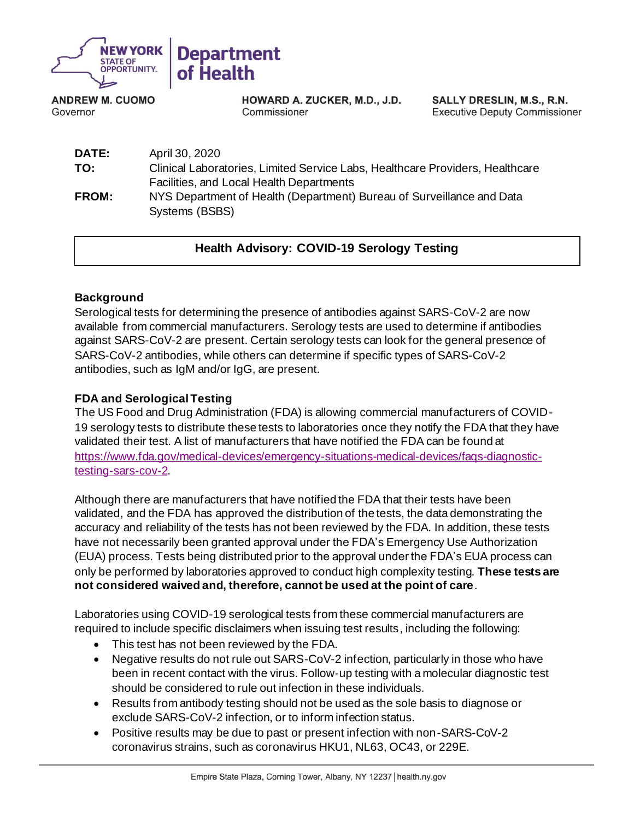

**ANDREW M. CUOMO** Governor

HOWARD A. ZUCKER, M.D., J.D. Commissioner

**SALLY DRESLIN, M.S., R.N. Executive Deputy Commissioner** 

| <b>DATE:</b> | April 30, 2020                                                                          |
|--------------|-----------------------------------------------------------------------------------------|
| TO:          | Clinical Laboratories, Limited Service Labs, Healthcare Providers, Healthcare           |
|              | Facilities, and Local Health Departments                                                |
| <b>FROM:</b> | NYS Department of Health (Department) Bureau of Surveillance and Data<br>Systems (BSBS) |
|              |                                                                                         |

# **Health Advisory: COVID-19 Serology Testing**

### **Background**

Serological tests for determining the presence of antibodies against SARS-CoV-2 are now available from commercial manufacturers. Serology tests are used to determine if antibodies against SARS-CoV-2 are present. Certain serology tests can look for the general presence of SARS-CoV-2 antibodies, while others can determine if specific types of SARS-CoV-2 antibodies, such as IgM and/or IgG, are present.

## **FDA and Serological Testing**

The US Food and Drug Administration (FDA) is allowing commercial manufacturers of COVID-19 serology tests to distribute these tests to laboratories once they notify the FDA that they have validated their test. A list of manufacturers that have notified the FDA can be found at [https://www.fda.gov/medical-devices/emergency-situations-medical-devices/faqs-diagnostic](https://www.fda.gov/medical-devices/emergency-situations-medical-devices/faqs-diagnostic-testing-sars-cov-2)[testing-sars-cov-2.](https://www.fda.gov/medical-devices/emergency-situations-medical-devices/faqs-diagnostic-testing-sars-cov-2)

Although there are manufacturers that have notified the FDA that their tests have been validated, and the FDA has approved the distribution of the tests, the data demonstrating the accuracy and reliability of the tests has not been reviewed by the FDA. In addition, these tests have not necessarily been granted approval under the FDA's Emergency Use Authorization (EUA) process. Tests being distributed prior to the approval under the FDA's EUA process can only be performed by laboratories approved to conduct high complexity testing. **These tests are not considered waived and, therefore, cannot be used at the point of care**.

Laboratories using COVID-19 serological tests from these commercial manufacturers are required to include specific disclaimers when issuing test results, including the following:

- This test has not been reviewed by the FDA.
- Negative results do not rule out SARS-CoV-2 infection, particularly in those who have been in recent contact with the virus. Follow-up testing with a molecular diagnostic test should be considered to rule out infection in these individuals.
- Results from antibody testing should not be used as the sole basis to diagnose or exclude SARS-CoV-2 infection, or to inform infection status.
- Positive results may be due to past or present infection with non-SARS-CoV-2 coronavirus strains, such as coronavirus HKU1, NL63, OC43, or 229E.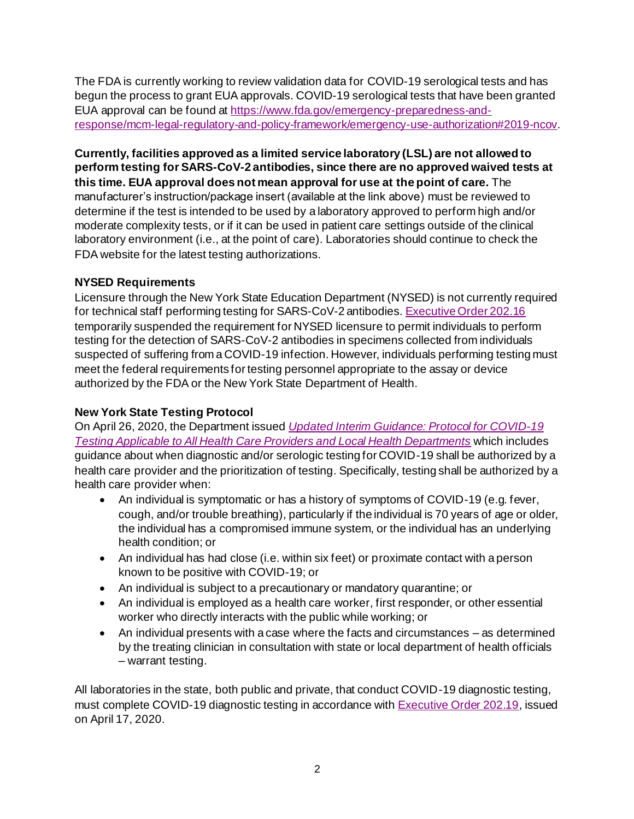The FDA is currently working to review validation data for COVID-19 serological tests and has begun the process to grant EUA approvals. COVID-19 serological tests that have been granted EUA approval can be found at [https://www.fda.gov/emergency-preparedness-and](https://www.fda.gov/emergency-preparedness-and-response/mcm-legal-regulatory-and-policy-framework/emergency-use-authorization#2019-ncov)[response/mcm-legal-regulatory-and-policy-framework/emergency-use-authorization#2019-ncov](https://www.fda.gov/emergency-preparedness-and-response/mcm-legal-regulatory-and-policy-framework/emergency-use-authorization#2019-ncov).

**Currently, facilities approved as a limited service laboratory (LSL) are not allowed to perform testing for SARS-CoV-2 antibodies, since there are no approved waived tests at this time. EUA approval does not mean approval for use at the point of care.** The manufacturer's instruction/package insert (available at the link above) must be reviewed to determine if the test is intended to be used by a laboratory approved to perform high and/or moderate complexity tests, or if it can be used in patient care settings outside of the clinical laboratory environment (i.e., at the point of care). Laboratories should continue to check the FDA website for the latest testing authorizations.

## **NYSED Requirements**

Licensure through the New York State Education Department (NYSED) is not currently required for technical staff performing testing for SARS-CoV-2 antibodies[. Executive Order 202.16](https://www.governor.ny.gov/news/no-20216-continuing-temporary-suspension-and-modification-laws-relating-disaster-emergency) temporarily suspended the requirement for NYSED licensure to permit individuals to perform testing for the detection of SARS-CoV-2 antibodies in specimens collected from individuals suspected of suffering from a COVID-19 infection. However, individuals performing testing must meet the federal requirements for testing personnel appropriate to the assay or device authorized by the FDA or the New York State Department of Health.

# **New York State Testing Protocol**

On April 26, 2020, the Department issued *[Updated Interim Guidance:](https://coronavirus.health.ny.gov/system/files/documents/2020/04/doh_covid19_revisedtestingprotocol_042620.pdf) Protocol for COVID-19 [Testing Applicable to All Health Care Providers and Local Health Departments](https://coronavirus.health.ny.gov/system/files/documents/2020/04/doh_covid19_revisedtestingprotocol_042620.pdf)* which includes guidance about when diagnostic and/or serologic testing for COVID-19 shall be authorized by a health care provider and the prioritization of testing. Specifically, testing shall be authorized by a health care provider when:

- An individual is symptomatic or has a history of symptoms of COVID-19 (e.g. fever, cough, and/or trouble breathing), particularly if the individual is 70 years of age or older, the individual has a compromised immune system, or the individual has an underlying health condition; or
- An individual has had close (i.e. within six feet) or proximate contact with a person known to be positive with COVID-19; or
- An individual is subject to a precautionary or mandatory quarantine; or
- An individual is employed as a health care worker, first responder, or other essential worker who directly interacts with the public while working; or
- An individual presents with a case where the facts and circumstances as determined by the treating clinician in consultation with state or local department of health officials – warrant testing.

All laboratories in the state, both public and private, that conduct COVID-19 diagnostic testing, must complete COVID-19 diagnostic testing in accordance with **Executive Order 202.19**, issued on April 17, 2020.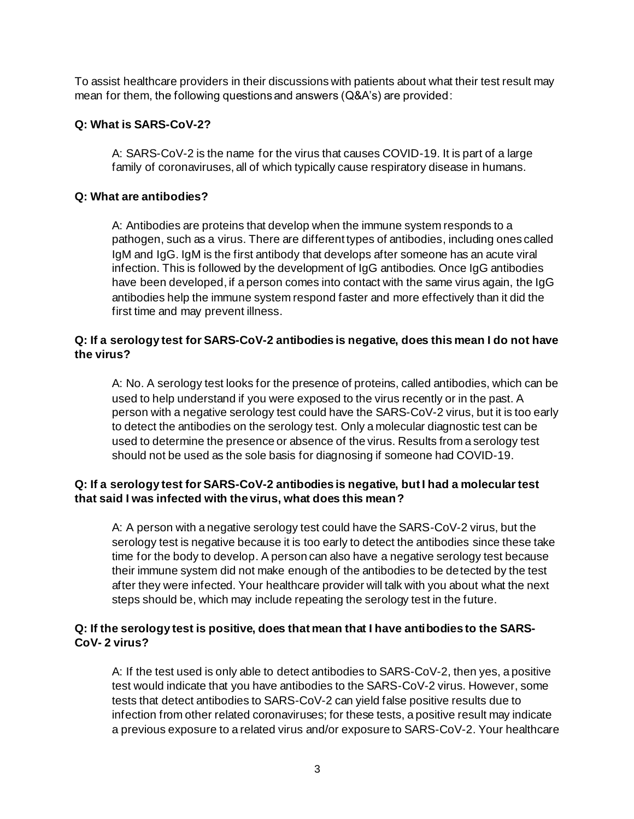To assist healthcare providers in their discussions with patients about what their test result may mean for them, the following questions and answers (Q&A's) are provided:

#### **Q: What is SARS-CoV-2?**

A: SARS-CoV-2 is the name for the virus that causes COVID-19. It is part of a large family of coronaviruses, all of which typically cause respiratory disease in humans.

#### **Q: What are antibodies?**

A: Antibodies are proteins that develop when the immune system responds to a pathogen, such as a virus. There are different types of antibodies, including ones called IgM and IgG. IgM is the first antibody that develops after someone has an acute viral infection. This is followed by the development of IgG antibodies. Once IgG antibodies have been developed, if a person comes into contact with the same virus again, the IgG antibodies help the immune system respond faster and more effectively than it did the first time and may prevent illness.

### **Q: If a serology test for SARS-CoV-2 antibodies is negative, does this mean I do not have the virus?**

A: No. A serology test looks for the presence of proteins, called antibodies, which can be used to help understand if you were exposed to the virus recently or in the past. A person with a negative serology test could have the SARS-CoV-2 virus, but it is too early to detect the antibodies on the serology test. Only a molecular diagnostic test can be used to determine the presence or absence of the virus. Results from a serology test should not be used as the sole basis for diagnosing if someone had COVID-19.

### **Q: If a serology test for SARS-CoV-2 antibodies is negative, but I had a molecular test that said I was infected with the virus, what does this mean?**

A: A person with a negative serology test could have the SARS-CoV-2 virus, but the serology test is negative because it is too early to detect the antibodies since these take time for the body to develop. A person can also have a negative serology test because their immune system did not make enough of the antibodies to be detected by the test after they were infected. Your healthcare provider will talk with you about what the next steps should be, which may include repeating the serology test in the future.

### **Q: If the serology test is positive, does that mean that I have antibodies to the SARS-CoV- 2 virus?**

A: If the test used is only able to detect antibodies to SARS-CoV-2, then yes, a positive test would indicate that you have antibodies to the SARS-CoV-2 virus. However, some tests that detect antibodies to SARS-CoV-2 can yield false positive results due to infection from other related coronaviruses; for these tests, a positive result may indicate a previous exposure to a related virus and/or exposure to SARS-CoV-2. Your healthcare